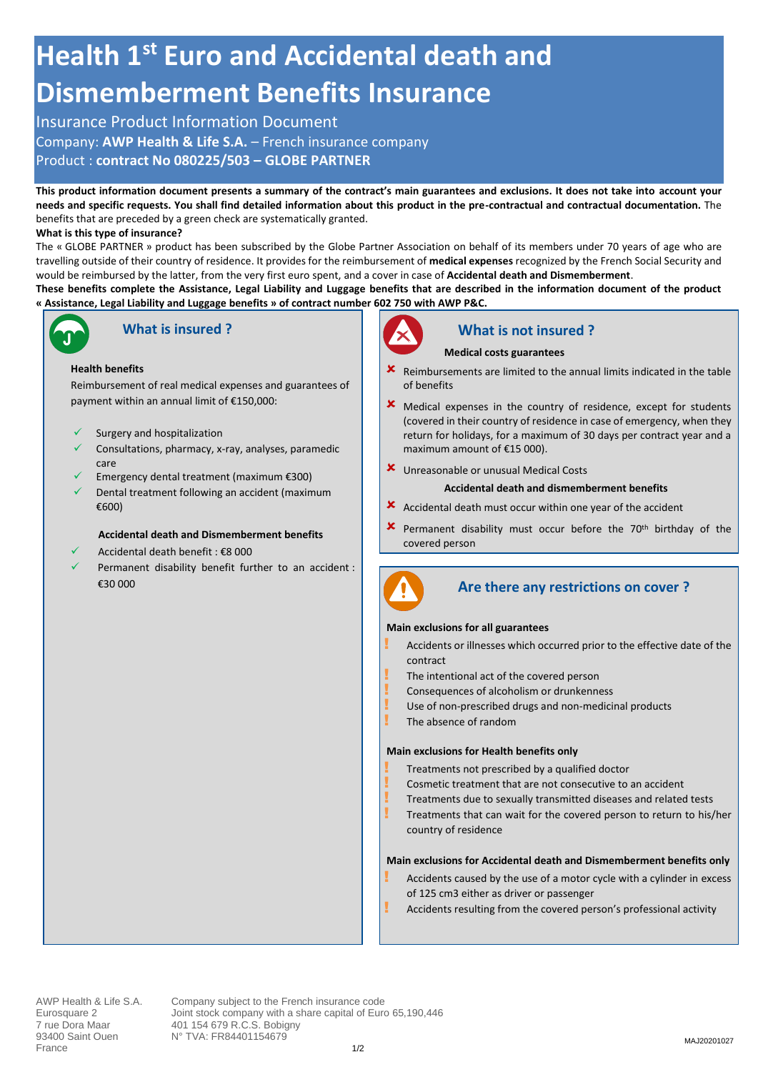# **Health 1st Euro and Accidental death and Dismemberment Benefits Insurance**

## Insurance Product Information Document

Company: **AWP Health & Life S.A.** – French insurance company

Product : **contract No 080225/503 – GLOBE PARTNER**

**This product information document presents a summary of the contract's main guarantees and exclusions. It does not take into account your needs and specific requests. You shall find detailed information about this product in the pre-contractual and contractual documentation.** The benefits that are preceded by a green check are systematically granted.

#### **What is this type of insurance?**

The « GLOBE PARTNER » product has been subscribed by the Globe Partner Association on behalf of its members under 70 years of age who are travelling outside of their country of residence. It provides for the reimbursement of **medical expenses** recognized by the French Social Security and would be reimbursed by the latter, from the very first euro spent, and a cover in case of **Accidental death and Dismemberment**.

**These benefits complete the Assistance, Legal Liability and Luggage benefits that are described in the information document of the product « Assistance, Legal Liability and Luggage benefits » of contract number 602 750 with AWP P&C.** 



## **What is insured ?**

#### **Health benefits**

Reimbursement of real medical expenses and guarantees of payment within an annual limit of €150,000:

- Surgery and hospitalization
- Consultations, pharmacy, x-ray, analyses, paramedic care
- ✓ Emergency dental treatment (maximum €300)
- Dental treatment following an accident (maximum €600)

#### **Accidental death and Dismemberment benefits**

- ✓ Accidental death benefit : €8 000
- Permanent disability benefit further to an accident : €30 000



## **What is not insured ?**

#### **Medical costs guarantees**

- Reimbursements are limited to the annual limits indicated in the table of benefits
- Medical expenses in the country of residence, except for students (covered in their country of residence in case of emergency, when they return for holidays, for a maximum of 30 days per contract year and a maximum amount of €15 000).
- Unreasonable or unusual Medical Costs

#### **Accidental death and dismemberment benefits**

- Accidental death must occur within one year of the accident
- $\boldsymbol{\times}$  Permanent disability must occur before the 70<sup>th</sup> birthday of the covered person



## **Are there any restrictions on cover ?**

#### **Main exclusions for all guarantees**

- Accidents or illnesses which occurred prior to the effective date of the contract
- The intentional act of the covered person
- Consequences of alcoholism or drunkenness
- Use of non-prescribed drugs and non-medicinal products
	- The absence of random

#### **Main exclusions for Health benefits only**

- ! Treatments not prescribed by a qualified doctor
- Cosmetic treatment that are not consecutive to an accident
- ! Treatments due to sexually transmitted diseases and related tests
- Treatments that can wait for the covered person to return to his/her country of residence

#### **Main exclusions for Accidental death and Dismemberment benefits only**

- Accidents caused by the use of a motor cycle with a cylinder in excess of 125 cm3 either as driver or passenger
- Accidents resulting from the covered person's professional activity

AWP Health & Life S.A. Company subject to the French insurance code Eurosquare 2 **Joint stock company with a share capital of Euro 65,190,446**<br>
7 rue Dora Maar 401 154 679 R.C.S. Bobigny 7 rue Dora Maar 401 154 679 R.C.S. Bobigny<br>93400 Saint Ouen N° TVA: FR84401154679 N° TVA: FR84401154679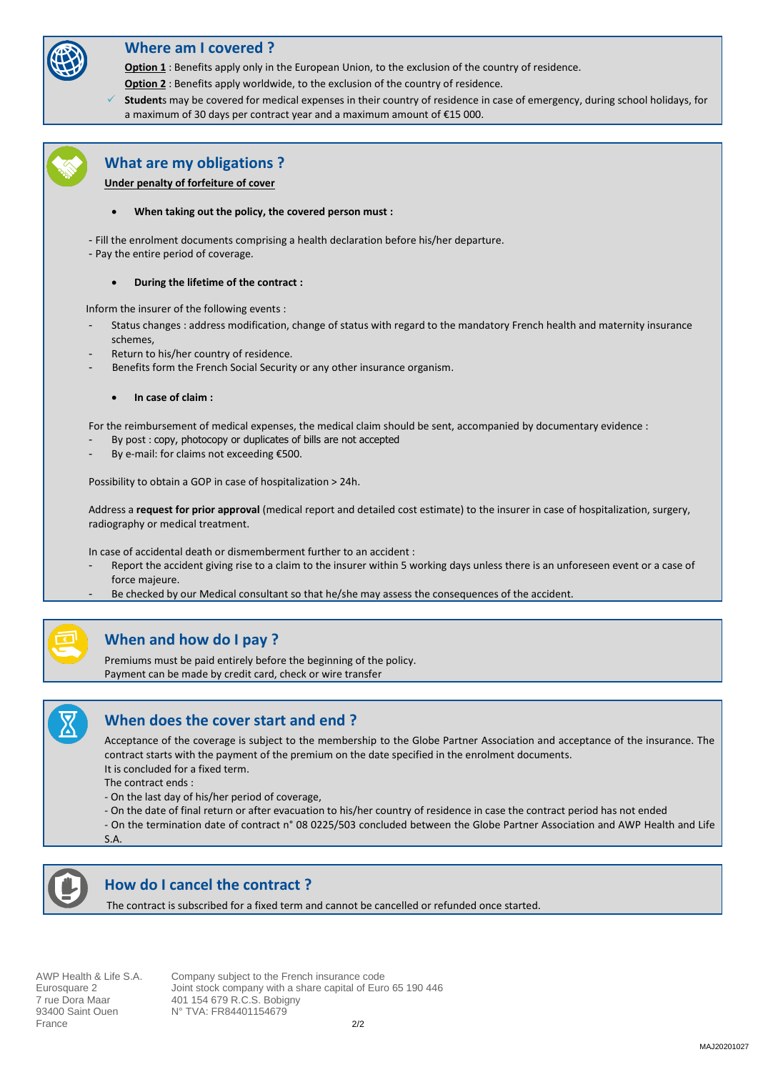

## **Where am I covered ?**

**Option 1** : Benefits apply only in the European Union, to the exclusion of the country of residence.

**Option 2** : Benefits apply worldwide, to the exclusion of the country of residence.

Students may be covered for medical expenses in their country of residence in case of emergency, during school holidays, for a maximum of 30 days per contract year and a maximum amount of €15 000.



### **What are my obligations ?**

**Under penalty of forfeiture of cover**

- **When taking out the policy, the covered person must :**
- Fill the enrolment documents comprising a health declaration before his/her departure.
- Pay the entire period of coverage.
	- **During the lifetime of the contract :**

Inform the insurer of the following events :

- Status changes : address modification, change of status with regard to the mandatory French health and maternity insurance schemes,
- Return to his/her country of residence.
- Benefits form the French Social Security or any other insurance organism.
	- **In case of claim :**

For the reimbursement of medical expenses, the medical claim should be sent, accompanied by documentary evidence :

- By post : copy, photocopy or duplicates of bills are not accepted
- By e-mail: for claims not exceeding €500.

Possibility to obtain a GOP in case of hospitalization > 24h.

Address a **request for prior approval** (medical report and detailed cost estimate) to the insurer in case of hospitalization, surgery, radiography or medical treatment.

In case of accidental death or dismemberment further to an accident :

- Report the accident giving rise to a claim to the insurer within 5 working days unless there is an unforeseen event or a case of force majeure.
- Be checked by our Medical consultant so that he/she may assess the consequences of the accident.



## **When and how do I pay ?**

Premiums must be paid entirely before the beginning of the policy. Payment can be made by credit card, check or wire transfer



## **When does the cover start and end ?**

Acceptance of the coverage is subject to the membership to the Globe Partner Association and acceptance of the insurance. The contract starts with the payment of the premium on the date specified in the enrolment documents. It is concluded for a fixed term.

The contract ends :

- On the last day of his/her period of coverage,
- On the date of final return or after evacuation to his/her country of residence in case the contract period has not ended
- On the termination date of contract n° 08 0225/503 concluded between the Globe Partner Association and AWP Health and Life

S.A.



## **How do I cancel the contract ?**

The contract is subscribed for a fixed term and cannot be cancelled or refunded once started.

France 2/2

AWP Health & Life S.A. Company subject to the French insurance code Eurosquare 2 **Joint stock company with a share capital of Euro 65 190 446**<br>7 rue Dora Maar 401 154 679 R.C.S. Bobigny 7 rue Dora Maar 401 154 679 R.C.S. Bobigny<br>93400 Saint Ouen 10<sup>°</sup> TVA: FR84401154679 N° TVA: FR84401154679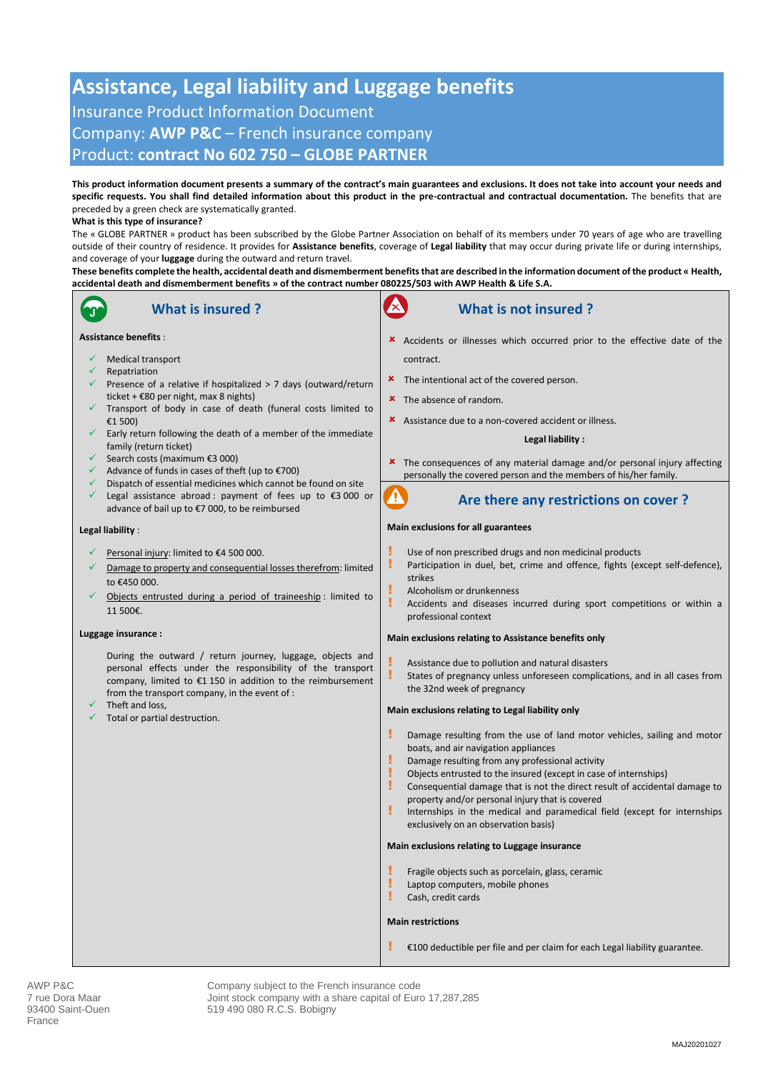## **Assistance, Legal liability and Luggage benefits** Insurance Product Information Document Company: **AWP P&C** – French insurance company Product: **contract No 602 750 – GLOBE PARTNER**

**This product information document presents a summary of the contract's main guarantees and exclusions. It does not take into account your needs and specific requests. You shall find detailed information about this product in the pre-contractual and contractual documentation.** The benefits that are preceded by a green check are systematically granted.

#### **What is this type of insurance?**

The « GLOBE PARTNER » product has been subscribed by the Globe Partner Association on behalf of its members under 70 years of age who are travelling outside of their country of residence. It provides for **Assistance benefits**, coverage of **Legal liability** that may occur during private life or during internships, and coverage of your **luggage** during the outward and return travel.

**These benefits complete the health, accidental death and dismemberment benefits that are described in the information document of the product « Health, accidental death and dismemberment benefits » of the contract number 080225/503 with AWP Health & Life S.A.**



AWP P&C<br>
True Dora Maar 
True Dora Maar

True Dora Maar

True Dora Maar

Ann a share capital of Europhy Vith a share capital of Europhy Joint stock company with a share capital of Europhy 7 rue Dora Maar Joint stock company with a share capital of Euro 17,287,285<br>93400 Saint-Ouen 519 490 080 R.C.S. Bobigny 519 490 080 R.C.S. Bobigny